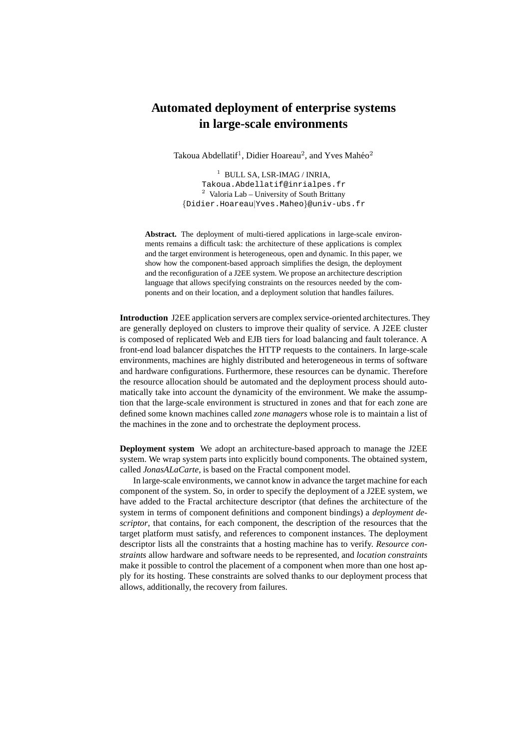## **Automated deployment of enterprise systems in large-scale environments**

Takoua Abdellatif<sup>1</sup>, Didier Hoareau<sup>2</sup>, and Yves Mahéo<sup>2</sup>

<sup>1</sup> BULL SA, LSR-IMAG / INRIA, Takoua.Abdellatif@inrialpes.fr <sup>2</sup> Valoria Lab – University of South Brittany {Didier.Hoareau|Yves.Maheo}@univ-ubs.fr

**Abstract.** The deployment of multi-tiered applications in large-scale environments remains a difficult task: the architecture of these applications is complex and the target environment is heterogeneous, open and dynamic. In this paper, we show how the component-based approach simplifies the design, the deployment and the reconfiguration of a J2EE system. We propose an architecture description language that allows specifying constraints on the resources needed by the components and on their location, and a deployment solution that handles failures.

**Introduction** J2EE application servers are complex service-oriented architectures. They are generally deployed on clusters to improve their quality of service. A J2EE cluster is composed of replicated Web and EJB tiers for load balancing and fault tolerance. A front-end load balancer dispatches the HTTP requests to the containers. In large-scale environments, machines are highly distributed and heterogeneous in terms of software and hardware configurations. Furthermore, these resources can be dynamic. Therefore the resource allocation should be automated and the deployment process should automatically take into account the dynamicity of the environment. We make the assumption that the large-scale environment is structured in zones and that for each zone are defined some known machines called *zone managers* whose role is to maintain a list of the machines in the zone and to orchestrate the deployment process.

**Deployment system** We adopt an architecture-based approach to manage the J2EE system. We wrap system parts into explicitly bound components. The obtained system, called *JonasALaCarte*, is based on the Fractal component model.

In large-scale environments, we cannot know in advance the target machine for each component of the system. So, in order to specify the deployment of a J2EE system, we have added to the Fractal architecture descriptor (that defines the architecture of the system in terms of component definitions and component bindings) a *deployment descriptor*, that contains, for each component, the description of the resources that the target platform must satisfy, and references to component instances. The deployment descriptor lists all the constraints that a hosting machine has to verify. *Resource constraints* allow hardware and software needs to be represented, and *location constraints* make it possible to control the placement of a component when more than one host apply for its hosting. These constraints are solved thanks to our deployment process that allows, additionally, the recovery from failures.